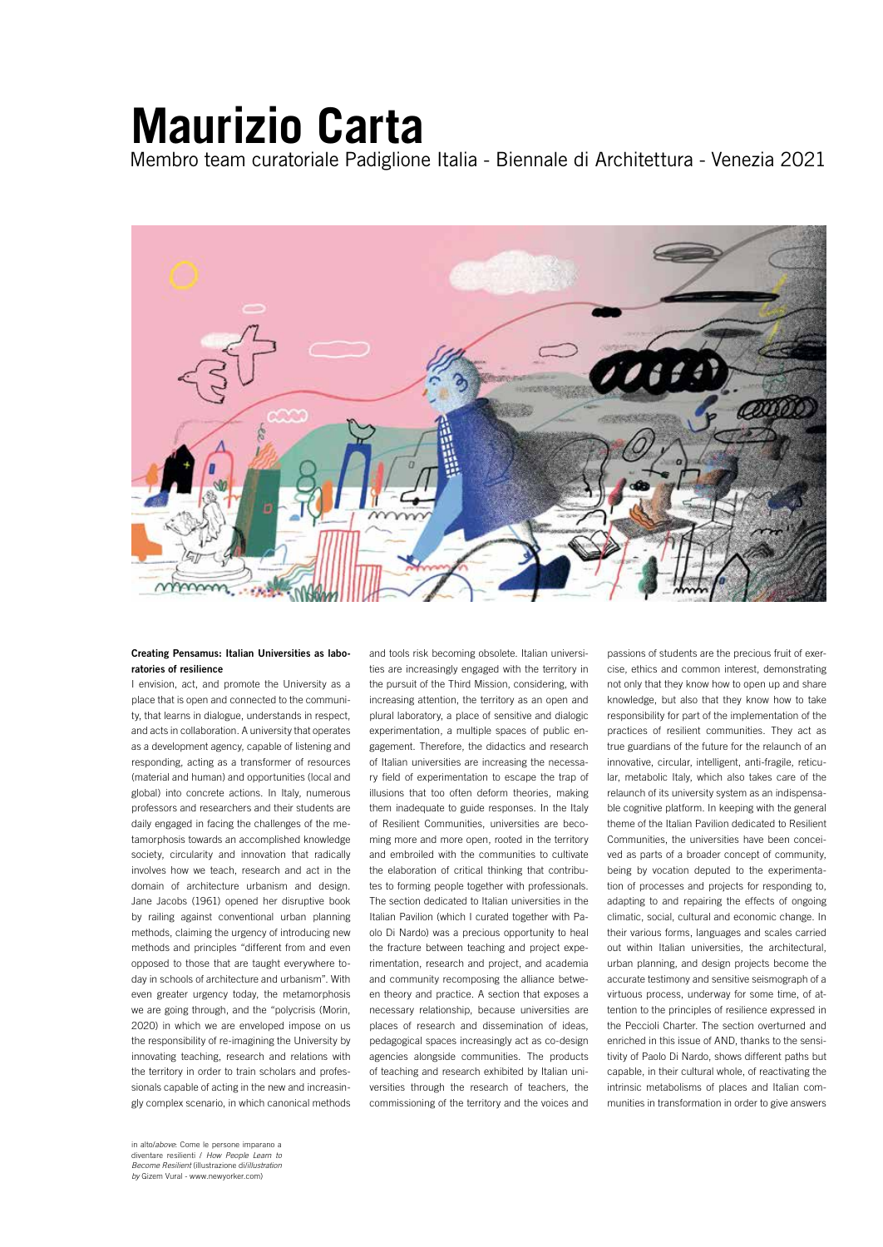## **Maurizio Carta**

Membro team curatoriale Padiglione Italia - Biennale di Architettura - Venezia 2021



## Creating Pensamus: Italian Universities as laboratories of resilience

I envision, act, and promote the University as a place that is open and connected to the community, that learns in dialogue, understands in respect, and acts in collaboration. A university that operates as a development agency, capable of listening and responding, acting as a transformer of resources (material and human) and opportunities (local and global) into concrete actions. In Italy, numerous professors and researchers and their students are daily engaged in facing the challenges of the metamorphosis towards an accomplished knowledge society, circularity and innovation that radically involves how we teach, research and act in the domain of architecture urbanism and design. Jane Jacobs (1961) opened her disruptive book by railing against conventional urban planning methods, claiming the urgency of introducing new methods and principles "different from and even opposed to those that are taught everywhere today in schools of architecture and urbanism". With even greater urgency today, the metamorphosis we are going through, and the "polycrisis (Morin, 2020) in which we are enveloped impose on us the responsibility of re-imagining the University by innovating teaching, research and relations with the territory in order to train scholars and professionals capable of acting in the new and increasingly complex scenario, in which canonical methods

in alto/*above*: Come le persone imparano a diventare resilienti / *How People Learn to Become Resilient* (illustrazione di/*illustration by* Gizem Vural - www.newyorker.com)

and tools risk becoming obsolete. Italian universities are increasingly engaged with the territory in the pursuit of the Third Mission, considering, with increasing attention, the territory as an open and plural laboratory, a place of sensitive and dialogic experimentation, a multiple spaces of public engagement. Therefore, the didactics and research of Italian universities are increasing the necessary field of experimentation to escape the trap of illusions that too often deform theories, making them inadequate to guide responses. In the Italy of Resilient Communities, universities are becoming more and more open, rooted in the territory and embroiled with the communities to cultivate the elaboration of critical thinking that contributes to forming people together with professionals. The section dedicated to Italian universities in the Italian Pavilion (which I curated together with Paolo Di Nardo) was a precious opportunity to heal the fracture between teaching and project experimentation, research and project, and academia and community recomposing the alliance between theory and practice. A section that exposes a necessary relationship, because universities are places of research and dissemination of ideas, pedagogical spaces increasingly act as co-design agencies alongside communities. The products of teaching and research exhibited by Italian universities through the research of teachers, the commissioning of the territory and the voices and

passions of students are the precious fruit of exercise, ethics and common interest, demonstrating not only that they know how to open up and share knowledge, but also that they know how to take responsibility for part of the implementation of the practices of resilient communities. They act as true guardians of the future for the relaunch of an innovative, circular, intelligent, anti-fragile, reticular, metabolic Italy, which also takes care of the relaunch of its university system as an indispensable cognitive platform. In keeping with the general theme of the Italian Pavilion dedicated to Resilient Communities, the universities have been conceived as parts of a broader concept of community, being by vocation deputed to the experimentation of processes and projects for responding to, adapting to and repairing the effects of ongoing climatic, social, cultural and economic change. In their various forms, languages and scales carried out within Italian universities, the architectural, urban planning, and design projects become the accurate testimony and sensitive seismograph of a virtuous process, underway for some time, of attention to the principles of resilience expressed in the Peccioli Charter. The section overturned and enriched in this issue of AND, thanks to the sensitivity of Paolo Di Nardo, shows different paths but capable, in their cultural whole, of reactivating the intrinsic metabolisms of places and Italian communities in transformation in order to give answers